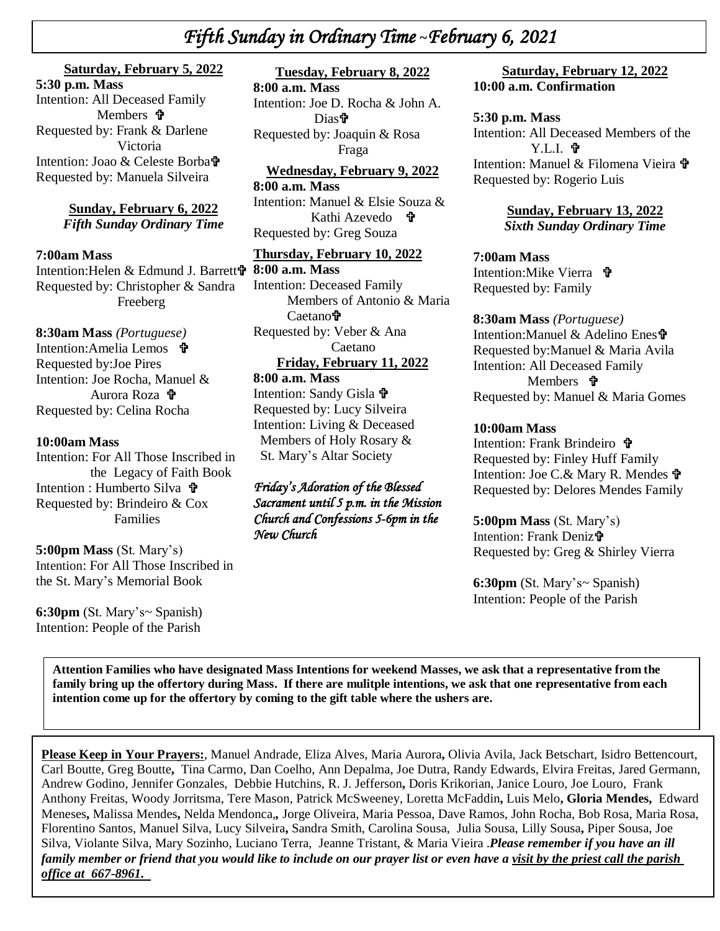# *Fifth Sunday in Ordinary Time* **~***February 6, 2021*

## **Saturday, February 5, 2022**

Intention: All Deceased Family<br>Members **P**  *\* Intention: Joao & Celeste Borba **5:30 p.m. Mass**  Members **t** Requested by: Frank & Darlene Victoria Requested by: Manuela Silveira

#### **Sunday, February 6, 2022** *Fifth Sunday Ordinary Time*

#### **7:00am Mass**

Intention:Helen & Edmund J. Barrett Requested by: Christopher & Sandra Freeberg

**8:30am Mass** *(Portuguese)* Intention:Amelia Lemos **t** Requested by:Joe Pires Intention: Joe Rocha, Manuel & Aurora Roza Requested by: Celina Rocha

#### **10:00am Mass**

Intention: For All Those Inscribed in the Legacy of Faith Book Intention : Humberto Silva **†** Requested by: Brindeiro & Cox Families

**5:00pm Mass** (St. Mary's) Intention: For All Those Inscribed in the St. Mary's Memorial Book

**6:30pm** (St. Mary's~ Spanish) Intention: People of the Parish

## **Tuesday, February 8, 2022**

**8:00 a.m. Mass** Intention: Joe D. Rocha & John A. **Diast** Requested by: Joaquin & Rosa Fraga

## **Wednesday, February 9, 2022**

**8:00 a.m. Mass** Intention: Manuel & Elsie Souza & Kathi Azevedo **ਹੈ** Requested by: Greg Souza

#### **Thursday, February 10, 2022**

**8:00 a.m. Mass** Intention: Deceased Family Members of Antonio & Maria Caetano<sup>⊕</sup> Requested by: Veber & Ana Caetano **Friday, February 11, 2022**

## **8:00 a.m. Mass**

Intention: Sandy Gisla Requested by: Lucy Silveira Intention: Living & Deceased Members of Holy Rosary & St. Mary's Altar Society

### *Friday's Adoration of the Blessed Sacrament until 5 p.m. in the Mission Church and Confessions 5-6pm in the New Church*

#### **Saturday, February 12, 2022 10:00 a.m. Confirmation**

#### **5:30 p.m. Mass**

Intention: All Deceased Members of the Y.L.I. Intention: Manuel & Filomena Vieira Requested by: Rogerio Luis

> **Sunday, February 13, 2022** *Sixth Sunday Ordinary Time*

#### **7:00am Mass**

Intention: Mike Vierra **宁** Requested by: Family

#### **8:30am Mass** *(Portuguese)*

Intention:Manuel & Adelino Enes Requested by:Manuel & Maria Avila Intention: All Deceased Family Members *T* Requested by: Manuel & Maria Gomes

### **10:00am Mass**

Intention: Frank Brindeiro Requested by: Finley Huff Family Intention: Joe C.& Mary R. Mendes Requested by: Delores Mendes Family

**5:00pm Mass** (St. Mary's) Intention: Frank Deniz Requested by: Greg & Shirley Vierra

**6:30pm** (St. Mary's~ Spanish) Intention: People of the Parish

**Attention Families who have designated Mass Intentions for weekend Masses, we ask that a representative from the family bring up the offertory during Mass. If there are mulitple intentions, we ask that one representative from each intention come up for the offertory by coming to the gift table where the ushers are.**

**Please Keep in Your Prayers:**, Manuel Andrade, Eliza Alves, Maria Aurora**,** Olivia Avila, Jack Betschart, Isidro Bettencourt, Carl Boutte, Greg Boutte**,** Tina Carmo, Dan Coelho, Ann Depalma, Joe Dutra, Randy Edwards, Elvira Freitas, Jared Germann, Andrew Godino, Jennifer Gonzales, Debbie Hutchins, R. J. Jefferson**,** Doris Krikorian, Janice Louro, Joe Louro, Frank Anthony Freitas, Woody Jorritsma, Tere Mason, Patrick McSweeney, Loretta McFaddin**,** Luis Melo**, Gloria Mendes,** Edward Meneses**,** Malissa Mendes**,** Nelda Mendonca,*,* Jorge Oliveira, Maria Pessoa, Dave Ramos, John Rocha, Bob Rosa, Maria Rosa, Florentino Santos, Manuel Silva, Lucy Silveira**,** Sandra Smith, Carolina Sousa, Julia Sousa, Lilly Sousa**,** Piper Sousa, Joe Silva, Violante Silva, Mary Sozinho, Luciano Terra, Jeanne Tristant, & Maria Vieira .*Please remember if you have an ill family member or friend that you would like to include on our prayer list or even have a visit by the priest call the parish office at 667-8961.*